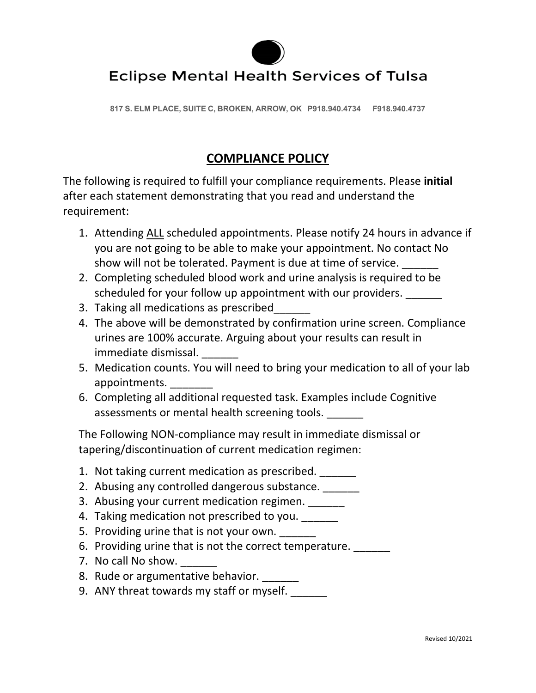

## **Eclipse Mental Health Services of Tulsa**

**817 S. ELM PLACE, SUITE C, BROKEN, ARROW, OK P918.940.4734 F918.940.4737**

## **COMPLIANCE POLICY**

The following is required to fulfill your compliance requirements. Please **initial** after each statement demonstrating that you read and understand the requirement:

- 1. Attending ALL scheduled appointments. Please notify 24 hours in advance if you are not going to be able to make your appointment. No contact No show will not be tolerated. Payment is due at time of service.
- 2. Completing scheduled blood work and urine analysis is required to be scheduled for your follow up appointment with our providers. \_\_\_\_\_\_
- 3. Taking all medications as prescribed\_\_\_\_\_\_
- 4. The above will be demonstrated by confirmation urine screen. Compliance urines are 100% accurate. Arguing about your results can result in immediate dismissal.
- 5. Medication counts. You will need to bring your medication to all of your lab appointments.
- 6. Completing all additional requested task. Examples include Cognitive assessments or mental health screening tools.

The Following NON-compliance may result in immediate dismissal or tapering/discontinuation of current medication regimen:

- 1. Not taking current medication as prescribed.
- 2. Abusing any controlled dangerous substance.
- 3. Abusing your current medication regimen.
- 4. Taking medication not prescribed to you.
- 5. Providing urine that is not your own.
- 6. Providing urine that is not the correct temperature.
- 7. No call No show.
- 8. Rude or argumentative behavior. \_\_\_\_\_\_
- 9. ANY threat towards my staff or myself.